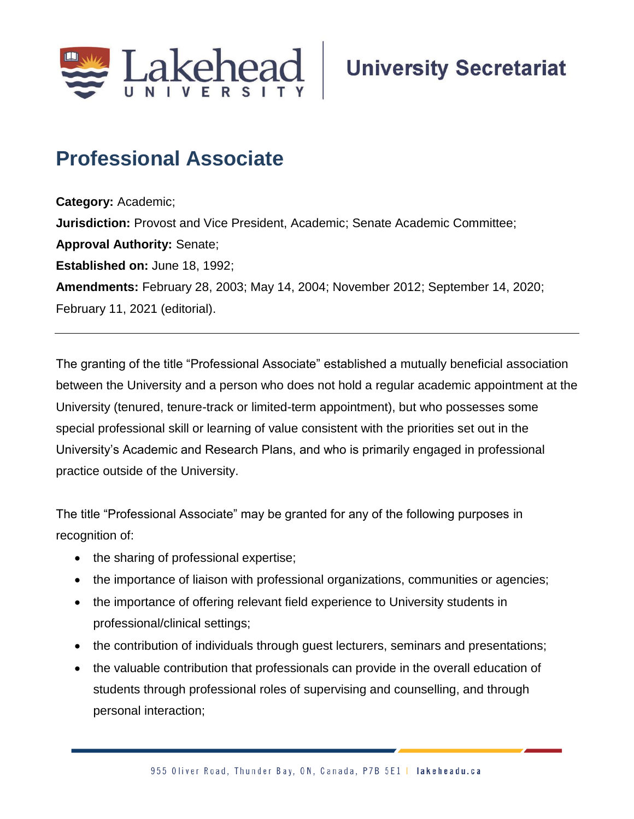

# **Professional Associate**

**Category:** Academic; **Jurisdiction:** Provost and Vice President, Academic; Senate Academic Committee; **Approval Authority:** Senate; **Established on:** June 18, 1992; **Amendments:** February 28, 2003; May 14, 2004; November 2012; September 14, 2020; February 11, 2021 (editorial).

The granting of the title "Professional Associate" established a mutually beneficial association between the University and a person who does not hold a regular academic appointment at the University (tenured, tenure-track or limited-term appointment), but who possesses some special professional skill or learning of value consistent with the priorities set out in the University's Academic and Research Plans, and who is primarily engaged in professional practice outside of the University.

The title "Professional Associate" may be granted for any of the following purposes in recognition of:

- the sharing of professional expertise;
- the importance of liaison with professional organizations, communities or agencies;
- the importance of offering relevant field experience to University students in professional/clinical settings;
- the contribution of individuals through guest lecturers, seminars and presentations;
- the valuable contribution that professionals can provide in the overall education of students through professional roles of supervising and counselling, and through personal interaction;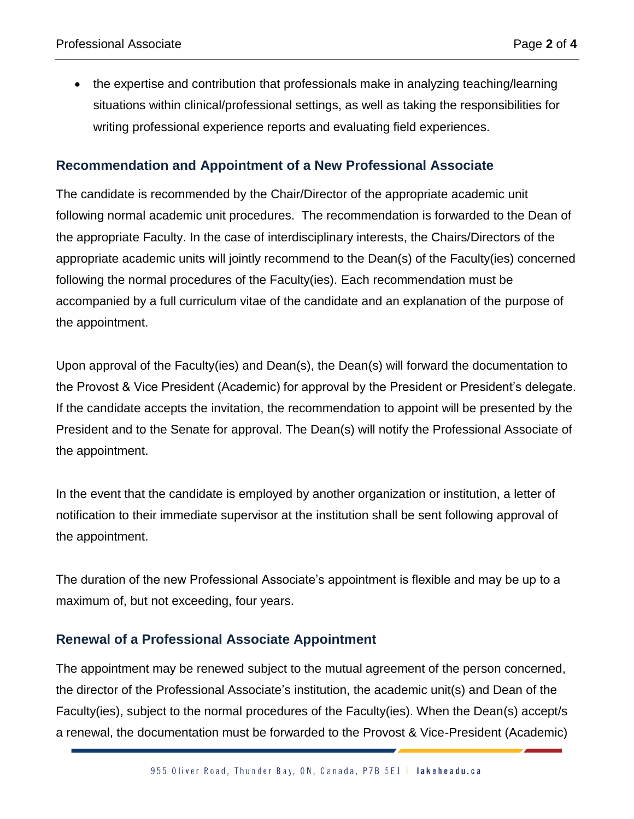the expertise and contribution that professionals make in analyzing teaching/learning situations within clinical/professional settings, as well as taking the responsibilities for writing professional experience reports and evaluating field experiences.

### **Recommendation and Appointment of a New Professional Associate**

The candidate is recommended by the Chair/Director of the appropriate academic unit following normal academic unit procedures. The recommendation is forwarded to the Dean of the appropriate Faculty. In the case of interdisciplinary interests, the Chairs/Directors of the appropriate academic units will jointly recommend to the Dean(s) of the Faculty(ies) concerned following the normal procedures of the Faculty(ies). Each recommendation must be accompanied by a full curriculum vitae of the candidate and an explanation of the purpose of the appointment.

Upon approval of the Faculty(ies) and Dean(s), the Dean(s) will forward the documentation to the Provost & Vice President (Academic) for approval by the President or President's delegate. If the candidate accepts the invitation, the recommendation to appoint will be presented by the President and to the Senate for approval. The Dean(s) will notify the Professional Associate of the appointment.

In the event that the candidate is employed by another organization or institution, a letter of notification to their immediate supervisor at the institution shall be sent following approval of the appointment.

The duration of the new Professional Associate's appointment is flexible and may be up to a maximum of, but not exceeding, four years.

### **Renewal of a Professional Associate Appointment**

The appointment may be renewed subject to the mutual agreement of the person concerned, the director of the Professional Associate's institution, the academic unit(s) and Dean of the Faculty(ies), subject to the normal procedures of the Faculty(ies). When the Dean(s) accept/s a renewal, the documentation must be forwarded to the Provost & Vice-President (Academic)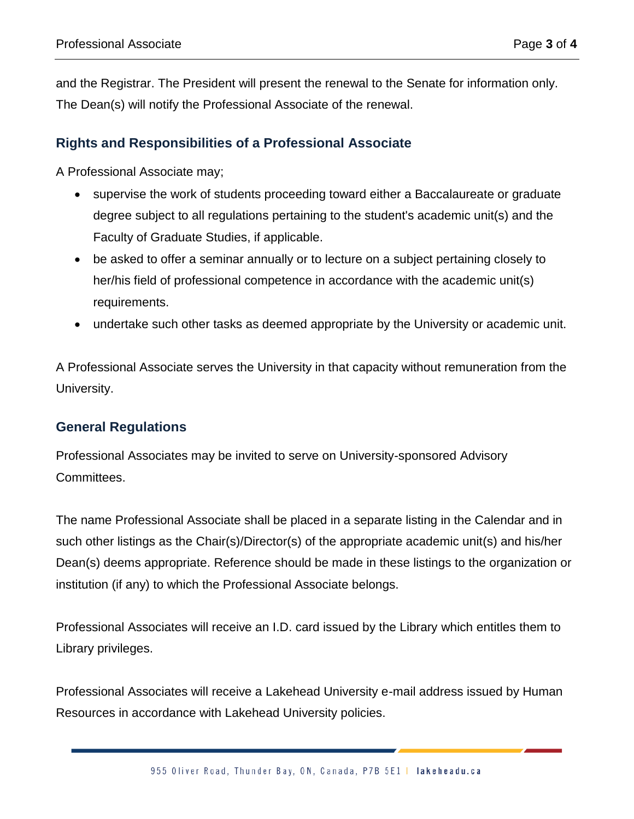and the Registrar. The President will present the renewal to the Senate for information only. The Dean(s) will notify the Professional Associate of the renewal.

## **Rights and Responsibilities of a Professional Associate**

A Professional Associate may;

- supervise the work of students proceeding toward either a Baccalaureate or graduate degree subject to all regulations pertaining to the student's academic unit(s) and the Faculty of Graduate Studies, if applicable.
- be asked to offer a seminar annually or to lecture on a subject pertaining closely to her/his field of professional competence in accordance with the academic unit(s) requirements.
- undertake such other tasks as deemed appropriate by the University or academic unit.

A Professional Associate serves the University in that capacity without remuneration from the University.

### **General Regulations**

Professional Associates may be invited to serve on University-sponsored Advisory Committees.

The name Professional Associate shall be placed in a separate listing in the Calendar and in such other listings as the Chair(s)/Director(s) of the appropriate academic unit(s) and his/her Dean(s) deems appropriate. Reference should be made in these listings to the organization or institution (if any) to which the Professional Associate belongs.

Professional Associates will receive an I.D. card issued by the Library which entitles them to Library privileges.

Professional Associates will receive a Lakehead University e-mail address issued by Human Resources in accordance with Lakehead University policies.